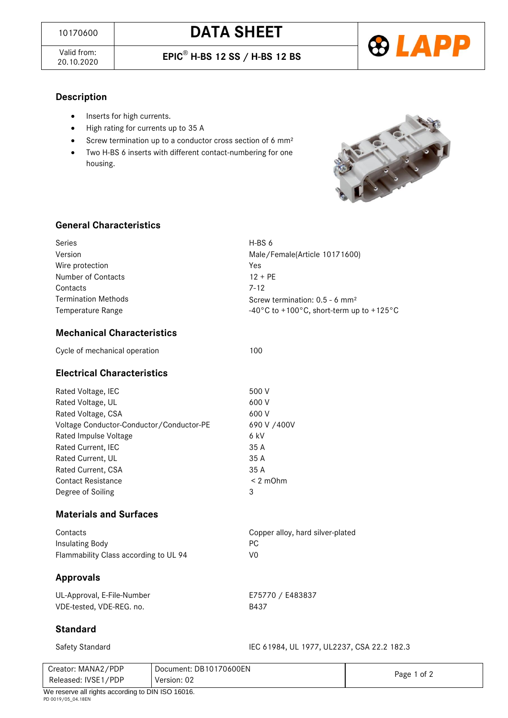Valid from:<br>20.10.2020

20.10.2020 **EPIC**® **H-BS 12 SS / H-BS 12 BS**



#### **Description**

- Inserts for high currents.
- High rating for currents up to 35 A
- Screw termination up to a conductor cross section of 6 mm<sup>2</sup>
- Two H-BS 6 inserts with different contact-numbering for one housing.



#### **General Characteristics**

| Series                     | $H$ -BS 6                                                                |  |
|----------------------------|--------------------------------------------------------------------------|--|
| Version                    | Male/Female(Article 10171600)                                            |  |
| Wire protection            | Yes                                                                      |  |
| Number of Contacts         | $12 + PF$                                                                |  |
| Contacts                   | $7 - 12$                                                                 |  |
| <b>Termination Methods</b> | Screw termination: $0.5 - 6$ mm <sup>2</sup>                             |  |
| Temperature Range          | $-40^{\circ}$ C to +100 $^{\circ}$ C, short-term up to +125 $^{\circ}$ C |  |

## **Mechanical Characteristics**

| Cycle of mechanical operation | 100 |
|-------------------------------|-----|
|                               |     |

### **Electrical Characteristics**

| Rated Voltage, IEC                       | 500 V       |
|------------------------------------------|-------------|
| Rated Voltage, UL                        | 600 V       |
| Rated Voltage, CSA                       | 600 V       |
| Voltage Conductor-Conductor/Conductor-PE | 690 V /400V |
| Rated Impulse Voltage                    | 6 kV        |
| Rated Current, IEC                       | 35 A        |
| Rated Current, UL                        | 35 A        |
| Rated Current, CSA                       | 35 A        |
| <b>Contact Resistance</b>                | $< 2$ mOhm  |
| Degree of Soiling                        | 3           |

## **Materials and Surfaces**

| Contacts                              | Copper alloy, hard silver-plated |
|---------------------------------------|----------------------------------|
| Insulating Body                       | PC.                              |
| Flammability Class according to UL 94 | VO                               |

## **Approvals**

UL-Approval, E-File-Number VDE-tested, VDE-REG. no. E75770 / E483837 B437

#### **Standard**

|  | Safety Standard |
|--|-----------------|
|--|-----------------|

IEC 61984, UL 1977, UL2237, CSA 22.2 182.3

| Creator: MANA2/PDP                                | Document: DB10170600EN |             |
|---------------------------------------------------|------------------------|-------------|
| Released: IVSE1/PDP                               | Version: 02            | Page 1 of 2 |
| We reserve all rights according to DIN ISO 16016. |                        |             |